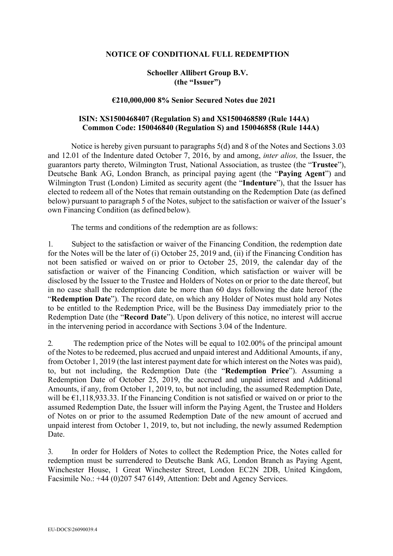## **NOTICE OF CONDITIONAL FULL REDEMPTION**

## **Schoeller Allibert Group B.V. (the "Issuer")**

## **€210,000,000 8% Senior Secured Notes due 2021**

## **ISIN: XS1500468407 (Regulation S) and XS1500468589 (Rule 144A) Common Code: 150046840 (Regulation S) and 150046858 (Rule 144A)**

Notice is hereby given pursuant to paragraphs 5(d) and 8 of the Notes and Sections 3.03 and 12.01 of the Indenture dated October 7, 2016, by and among, *inter alios,* the Issuer, the guarantors party thereto, Wilmington Trust, National Association, as trustee (the "**Trustee**"), Deutsche Bank AG, London Branch, as principal paying agent (the "**Paying Agent**") and Wilmington Trust (London) Limited as security agent (the "**Indenture**"), that the Issuer has elected to redeem all of the Notes that remain outstanding on the Redemption Date (as defined below) pursuant to paragraph 5 of the Notes, subject to the satisfaction or waiver of the Issuer's own Financing Condition (as defined below).

The terms and conditions of the redemption are as follows:

1. Subject to the satisfaction or waiver of the Financing Condition, the redemption date for the Notes will be the later of (i) October 25, 2019 and, (ii) if the Financing Condition has not been satisfied or waived on or prior to October 25, 2019, the calendar day of the satisfaction or waiver of the Financing Condition, which satisfaction or waiver will be disclosed by the Issuer to the Trustee and Holders of Notes on or prior to the date thereof, but in no case shall the redemption date be more than 60 days following the date hereof (the "**Redemption Date**"). The record date, on which any Holder of Notes must hold any Notes to be entitled to the Redemption Price, will be the Business Day immediately prior to the Redemption Date (the "**Record Date**"). Upon delivery of this notice, no interest will accrue in the intervening period in accordance with Sections 3.04 of the Indenture.

2. The redemption price of the Notes will be equal to 102.00% of the principal amount of the Notes to be redeemed, plus accrued and unpaid interest and Additional Amounts, if any, from October 1, 2019 (the last interest payment date for which interest on the Notes was paid), to, but not including, the Redemption Date (the "**Redemption Price**"). Assuming a Redemption Date of October 25, 2019, the accrued and unpaid interest and Additional Amounts, if any, from October 1, 2019, to, but not including, the assumed Redemption Date, will be  $\epsilon$ 1,118,933.33. If the Financing Condition is not satisfied or waived on or prior to the assumed Redemption Date, the Issuer will inform the Paying Agent, the Trustee and Holders of Notes on or prior to the assumed Redemption Date of the new amount of accrued and unpaid interest from October 1, 2019, to, but not including, the newly assumed Redemption Date.

3. In order for Holders of Notes to collect the Redemption Price, the Notes called for redemption must be surrendered to Deutsche Bank AG, London Branch as Paying Agent, Winchester House, 1 Great Winchester Street, London EC2N 2DB, United Kingdom, Facsimile No.: +44 (0)207 547 6149, Attention: Debt and Agency Services.